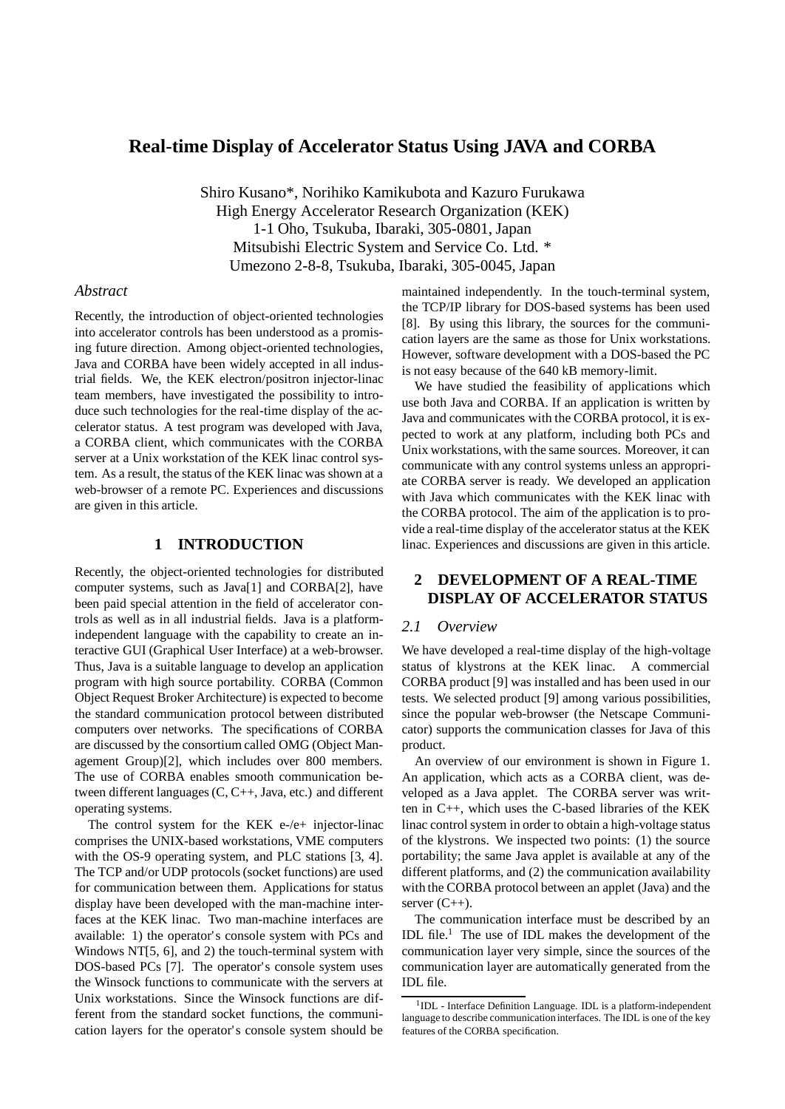# **Real-time Display of Accelerator Status Using JAVA and CORBA**

Shiro Kusano\*, Norihiko Kamikubota and Kazuro Furukawa High Energy Accelerator Research Organization (KEK) 1-1 Oho, Tsukuba, Ibaraki, 305-0801, Japan Mitsubishi Electric System and Service Co. Ltd. \* Umezono 2-8-8, Tsukuba, Ibaraki, 305-0045, Japan

## *Abstract*

Recently, the introduction of object-oriented technologies into accelerator controls has been understood as a promising future direction. Among object-oriented technologies, Java and CORBA have been widely accepted in all industrial fields. We, the KEK electron/positron injector-linac team members, have investigated the possibility to introduce such technologies for the real-time display of the accelerator status. A test program was developed with Java, a CORBA client, which communicates with the CORBA server at a Unix workstation of the KEK linac control system. As a result, the status of the KEK linac was shown at a web-browser of a remote PC. Experiences and discussions are given in this article.

### **1 INTRODUCTION**

Recently, the object-oriented technologies for distributed computer systems, such as Java[1] and CORBA[2], have been paid special attention in the field of accelerator controls as well as in all industrial fields. Java is a platformindependent language with the capability to create an interactive GUI (Graphical User Interface) at a web-browser. Thus, Java is a suitable language to develop an application program with high source portability. CORBA (Common Object Request Broker Architecture) is expected to become the standard communication protocol between distributed computers over networks. The specifications of CORBA are discussed by the consortium called OMG (Object Management Group)[2], which includes over 800 members. The use of CORBA enables smooth communication between different languages (C, C++, Java, etc.) and different operating systems.

The control system for the KEK e-/e+ injector-linac comprises the UNIX-based workstations, VME computers with the OS-9 operating system, and PLC stations [3, 4]. The TCP and/or UDP protocols (socket functions) are used for communication between them. Applications for status display have been developed with the man-machine interfaces at the KEK linac. Two man-machine interfaces are available: 1) the operator's console system with PCs and Windows NT[5, 6], and 2) the touch-terminal system with DOS-based PCs [7]. The operator's console system uses the Winsock functions to communicate with the servers at Unix workstations. Since the Winsock functions are different from the standard socket functions, the communication layers for the operator's console system should be maintained independently. In the touch-terminal system, the TCP/IP library for DOS-based systems has been used [8]. By using this library, the sources for the communication layers are the same as those for Unix workstations. However, software development with a DOS-based the PC is not easy because of the 640 kB memory-limit.

We have studied the feasibility of applications which use both Java and CORBA. If an application is written by Java and communicates with the CORBA protocol, it is expected to work at any platform, including both PCs and Unix workstations, with the same sources. Moreover, it can communicate with any control systems unless an appropriate CORBA server is ready. We developed an application with Java which communicates with the KEK linac with the CORBA protocol. The aim of the application is to provide a real-time display of the accelerator status at the KEK linac. Experiences and discussions are given in this article.

# **2 DEVELOPMENT OF A REAL-TIME DISPLAY OF ACCELERATOR STATUS**

#### *2.1 Overview*

We have developed a real-time display of the high-voltage status of klystrons at the KEK linac. A commercial CORBA product [9] was installed and has been used in our tests. We selected product [9] among various possibilities, since the popular web-browser (the Netscape Communicator) supports the communication classes for Java of this product.

An overview of our environment is shown in Figure 1. An application, which acts as a CORBA client, was developed as a Java applet. The CORBA server was written in C++, which uses the C-based libraries of the KEK linac control system in order to obtain a high-voltage status of the klystrons. We inspected two points: (1) the source portability; the same Java applet is available at any of the different platforms, and (2) the communication availability with the CORBA protocol between an applet (Java) and the server  $(C_{++})$ .

The communication interface must be described by an IDL file.<sup>1</sup> The use of IDL makes the development of the communication layer very simple, since the sources of the communication layer are automatically generated from the IDL file.

<sup>&</sup>lt;sup>1</sup>IDL - Interface Definition Language. IDL is a platform-independent language to describe communication interfaces. The IDL is one of the key features of the CORBA specification.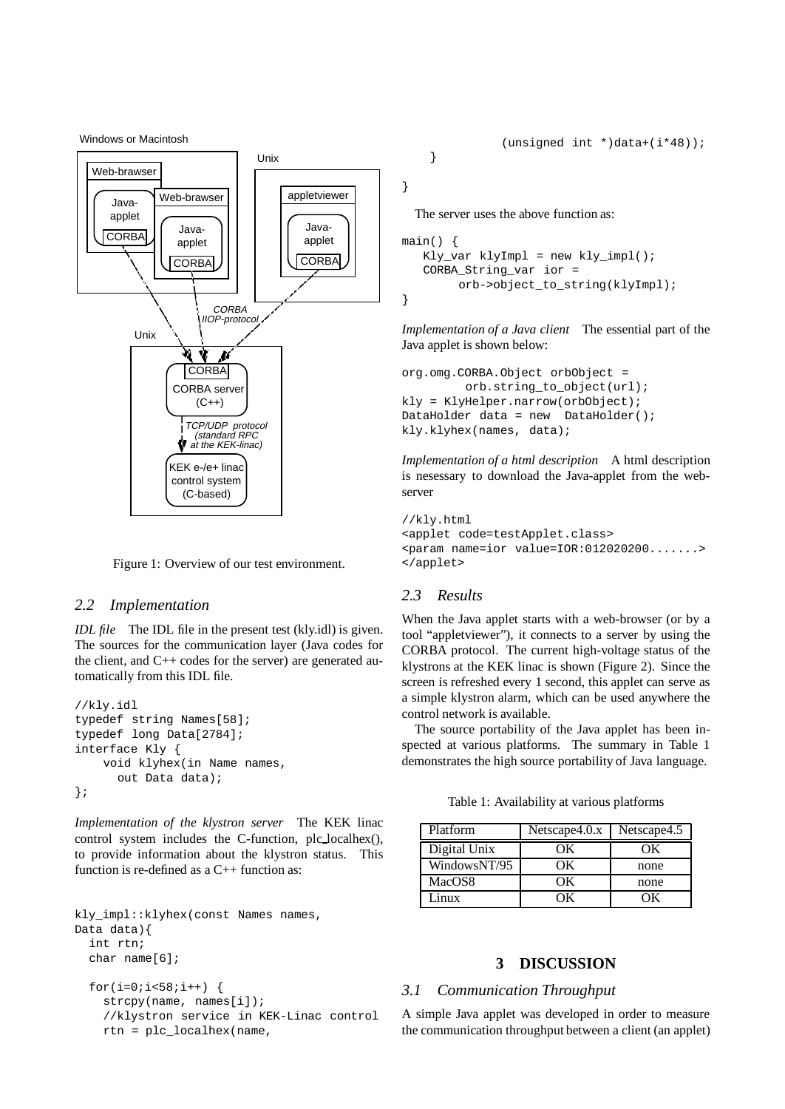Windows or Macintosh



Figure 1: Overview of our test environment.

#### *2.2 Implementation*

*IDL file* The IDL file in the present test (kly.idl) is given. The sources for the communication layer (Java codes for the client, and C++ codes for the server) are generated automatically from this IDL file.

```
//kly.idl
typedef string Names[58];
typedef long Data[2784];
interface Kly {
   void klyhex(in Name names,
      out Data data);
};
```
*Implementation of the klystron server* The KEK linac control system includes the C-function, plc localhex(), to provide information about the klystron status. This function is re-defined as a C++ function as:

```
kly impl::klyhex(const Names names,
Data data){
  int rtn;
  char name[6];
  for(i=0;i<58;i++) {
    strcpy(name, names[i]);
    //klystron service in KEK-Linac control
    rtn = plc_localhex(name,
```
}

}

The server uses the above function as:

```
main()Kly_var klyImpl = new kly_impl();
  CORBA_String_var ior =
       orb->object_to_string(klyImpl);
}
```
*Implementation of a Java client* The essential part of the Java applet is shown below:

```
org.omg.CORBA.Object orbObject =
         orb.string_to_object(url);
kly = KlyHelper.narrow(orbObject);
DataHolder data = new DataHolder();
kly.klyhex(names, data);
```
*Implementation of a html description* A html description is nesessary to download the Java-applet from the webserver

```
//kly.html
<applet code=testApplet.class>
<param name=ior value=IOR:012020200.......>
</applet>
```
## *2.3 Results*

When the Java applet starts with a web-browser (or by a tool "appletviewer"), it connects to a server by using the CORBA protocol. The current high-voltage status of the klystrons at the KEK linac is shown (Figure 2). Since the screen is refreshed every 1 second, this applet can serve as a simple klystron alarm, which can be used anywhere the control network is available.

The source portability of the Java applet has been inspected at various platforms. The summary in Table 1 demonstrates the high source portability of Java language.

Table 1: Availability at various platforms

| Platform     | Netscape 4.0.x | Netscape4.5 |
|--------------|----------------|-------------|
| Digital Unix |                |             |
| WindowsNT/95 | ЭΚ             | none        |
| MacOS8       | ЭΚ             | none        |
| Linux        |                |             |

#### **3 DISCUSSION**

### *3.1 Communication Throughput*

A simple Java applet was developed in order to measure the communication throughput between a client (an applet)